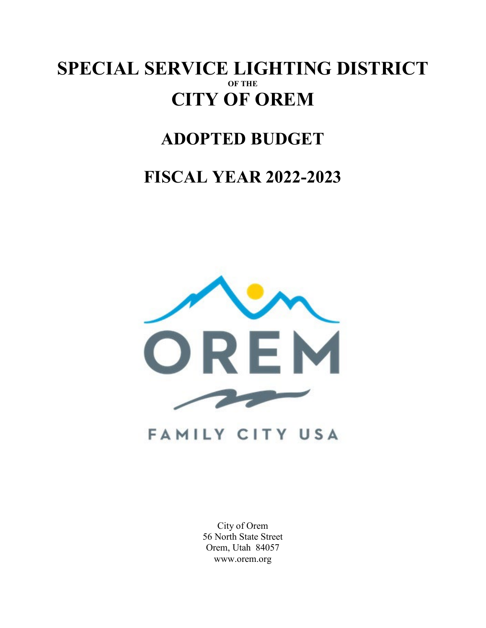### **SPECIAL SERVICE LIGHTING DISTRICT OF THE CITY OF OREM**

## **ADOPTED BUDGET**

## **FISCAL YEAR 2022-2023**



City of Orem 56 North State Street Orem, Utah 84057 www.orem.org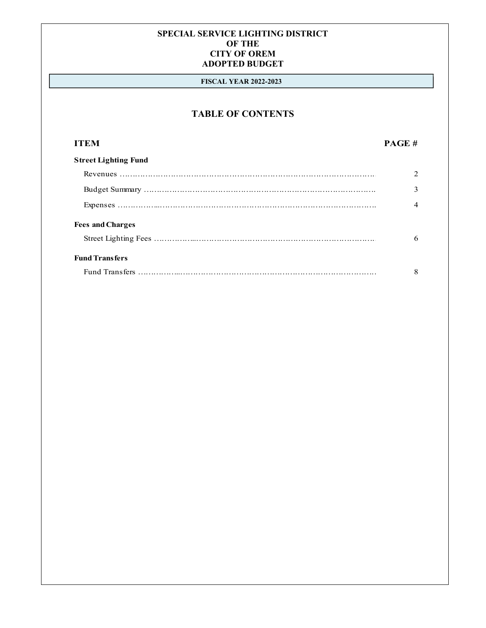#### **FISCAL YEAR 2022-2023**

### **TABLE OF CONTENTS**

#### **ITEM PAGE #**

| <b>Street Lighting Fund</b> |   |
|-----------------------------|---|
|                             |   |
|                             |   |
|                             |   |
| <b>Fees and Charges</b>     |   |
|                             | 6 |
| <b>Fund Transfers</b>       |   |
|                             | 8 |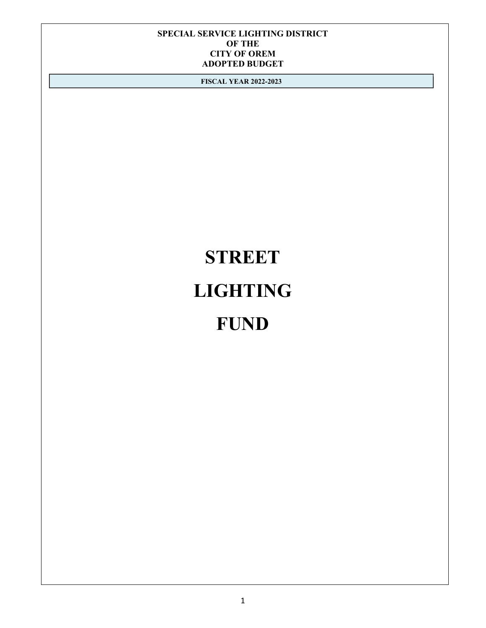**FISCAL YEAR 2022-2023**

# **STREET LIGHTING FUND**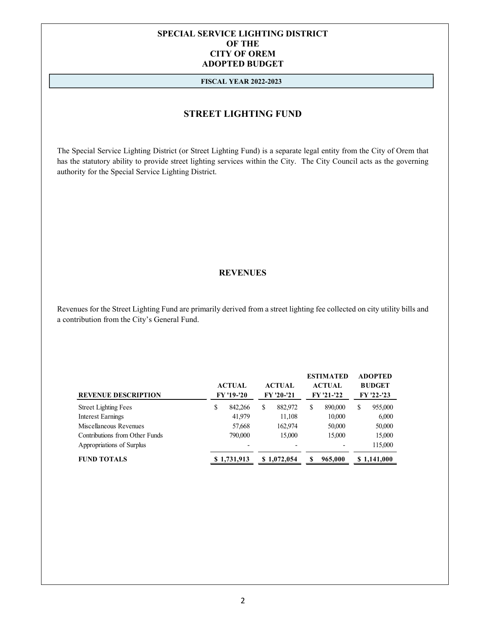#### **FISCAL YEAR 2022-2023**

#### **STREET LIGHTING FUND**

The Special Service Lighting District (or Street Lighting Fund) is a separate legal entity from the City of Orem that has the statutory ability to provide street lighting services within the City. The City Council acts as the governing authority for the Special Service Lighting District.

#### **REVENUES**

Revenues for the Street Lighting Fund are primarily derived from a street lighting fee collected on city utility bills and a contribution from the City's General Fund.

| <b>REVENUE DESCRIPTION</b>     | <b>ACTUAL</b><br><b>FY '19-'20</b> | <b>ACTUAL</b><br>FY '20-'21 |             |   | <b>ESTIMATED</b><br><b>ACTUAL</b><br><b>FY '21-'22</b> | <b>ADOPTED</b><br><b>BUDGET</b><br><b>FY '22-'23</b> |             |
|--------------------------------|------------------------------------|-----------------------------|-------------|---|--------------------------------------------------------|------------------------------------------------------|-------------|
| <b>Street Lighting Fees</b>    | \$<br>842.266                      | S                           | 882,972     | S | 890,000                                                | \$                                                   | 955,000     |
| Interest Earnings              | 41,979                             |                             | 11,108      |   | 10,000                                                 |                                                      | 6,000       |
| Miscellaneous Revenues         | 57,668                             |                             | 162,974     |   | 50,000                                                 |                                                      | 50,000      |
| Contributions from Other Funds | 790,000                            |                             | 15,000      |   | 15,000                                                 |                                                      | 15,000      |
| Appropriations of Surplus      |                                    |                             |             |   | $\qquad \qquad$                                        |                                                      | 115,000     |
| <b>FUND TOTALS</b>             | \$1,731,913                        |                             | \$1,072,054 |   | 965,000                                                |                                                      | \$1.141.000 |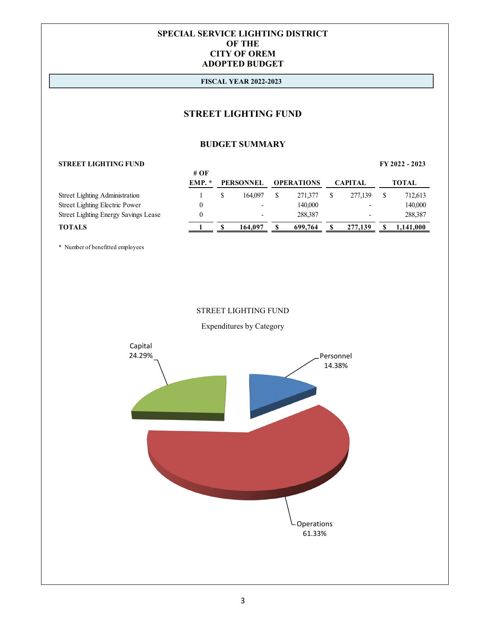#### **FISCAL YEAR 2022-2023**

#### **STREET LIGHTING FUND**

#### **BUDGET SUMMARY**

#### **STREET LIGHTING FUND FY 2022 - 2023**

|                                             | # OF |                  |                   |                          |              |
|---------------------------------------------|------|------------------|-------------------|--------------------------|--------------|
|                                             | EMP. | <b>PERSONNEL</b> | <b>OPERATIONS</b> | <b>CAPITAL</b>           | <b>TOTAL</b> |
| <b>Street Lighting Administration</b>       |      | 164,097          | 271,377           | 277,139                  | 712,613      |
| <b>Street Lighting Electric Power</b>       |      |                  | 140,000           | $\overline{\phantom{0}}$ | 140,000      |
| <b>Street Lighting Energy Savings Lease</b> |      |                  | 288,387           |                          | 288,387      |
| <b>TOTALS</b>                               |      | 164.097          | 699.764           | 277,139                  | 1,141,000    |

\* Number of benefitted employees

#### STREET LIGHTING FUND

Expenditures by Category

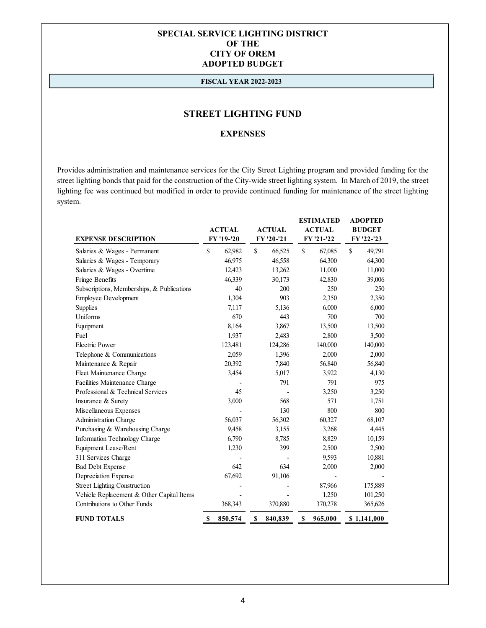#### **FISCAL YEAR 2022-2023**

#### **STREET LIGHTING FUND**

#### **EXPENSES**

Provides administration and maintenance services for the City Street Lighting program and provided funding for the street lighting bonds that paid for the construction of the City-wide street lighting system. In March of 2019, the street lighting fee was continued but modified in order to provide continued funding for maintenance of the street lighting system.

|                                            |          |                                | <b>ESTIMATED</b> |            | <b>ADOPTED</b> |         |               |                   |
|--------------------------------------------|----------|--------------------------------|------------------|------------|----------------|---------|---------------|-------------------|
|                                            |          | <b>ACTUAL</b><br><b>ACTUAL</b> |                  |            | <b>ACTUAL</b>  |         | <b>BUDGET</b> |                   |
| <b>EXPENSE DESCRIPTION</b>                 |          | FY '19-'20                     |                  | FY '20-'21 | FY '21-'22     |         |               | <b>FY '22-'23</b> |
| Salaries & Wages - Permanent               | \$       | 62,982                         | \$               | 66,525     | \$             | 67,085  | \$            | 49,791            |
| Salaries & Wages - Temporary               |          | 46.975                         |                  | 46,558     |                | 64,300  |               | 64,300            |
| Salaries & Wages - Overtime                |          | 12,423                         |                  | 13,262     |                | 11,000  |               | 11,000            |
| Fringe Benefits                            |          | 46,339                         |                  | 30,173     |                | 42,830  |               | 39,006            |
| Subscriptions, Memberships, & Publications |          | 40                             |                  | 200        |                | 250     |               | 250               |
| Employee Development                       |          | 1,304                          |                  | 903        |                | 2,350   |               | 2,350             |
| <b>Supplies</b>                            |          | 7,117                          |                  | 5,136      |                | 6,000   |               | 6,000             |
| Uniforms                                   |          | 670                            |                  | 443        |                | 700     |               | 700               |
| Equipment                                  |          | 8,164                          |                  | 3,867      |                | 13,500  |               | 13,500            |
| Fuel                                       |          | 1,937                          |                  | 2,483      |                | 2,800   |               | 3,500             |
| <b>Electric Power</b>                      |          | 123,481                        |                  | 124,286    |                | 140,000 |               | 140,000           |
| Telephone & Communications                 |          | 2,059                          |                  | 1,396      |                | 2,000   |               | 2,000             |
| Maintenance & Repair                       |          | 20,392                         |                  | 7,840      |                | 56,840  |               | 56,840            |
| Fleet Maintenance Charge                   |          | 3,454                          |                  | 5,017      |                | 3,922   |               | 4,130             |
| Facilities Maintenance Charge              |          |                                |                  | 791        |                | 791     |               | 975               |
| Professional & Technical Services          |          | 45                             |                  |            |                | 3,250   |               | 3,250             |
| Insurance & Surety                         |          | 3,000                          |                  | 568        |                | 571     |               | 1,751             |
| Miscellaneous Expenses                     |          |                                |                  | 130        |                | 800     |               | 800               |
| Administration Charge                      |          | 56,037                         |                  | 56,302     |                | 60,327  |               | 68,107            |
| Purchasing & Warehousing Charge            |          | 9,458                          |                  | 3,155      |                | 3,268   |               | 4,445             |
| Information Technology Charge              |          | 6,790                          |                  | 8,785      |                | 8,829   |               | 10,159            |
| Equipment Lease/Rent                       |          | 1,230                          |                  | 399        |                | 2,500   |               | 2,500             |
| 311 Services Charge                        |          |                                |                  |            |                | 9,593   |               | 10,881            |
| <b>Bad Debt Expense</b>                    |          | 642                            |                  | 634        |                | 2,000   |               | 2,000             |
| Depreciation Expense                       |          | 67,692                         |                  | 91,106     |                |         |               |                   |
| <b>Street Lighting Construction</b>        |          |                                |                  |            |                | 87,966  |               | 175,889           |
| Vehicle Replacement & Other Capital Items  |          |                                |                  |            |                | 1,250   |               | 101,250           |
| Contributions to Other Funds               |          | 368,343                        |                  | 370,880    |                | 370,278 |               | 365,626           |
| <b>FUND TOTALS</b>                         | <b>S</b> | 850,574                        | S                | 840,839    | S              | 965,000 |               | \$1,141,000       |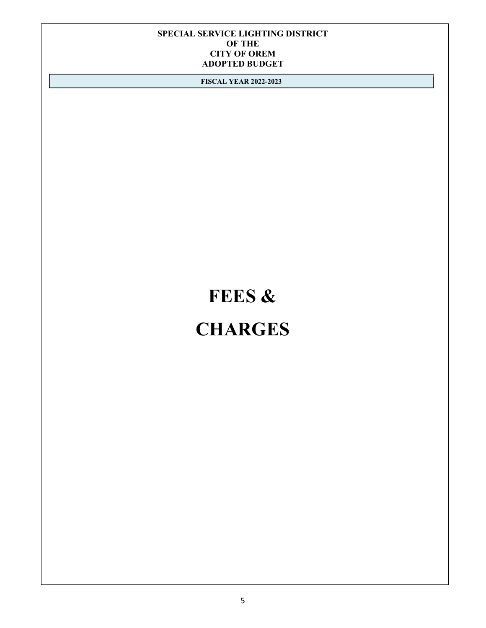**FISCAL YEAR 2022-2023**

## **FEES & CHARGES**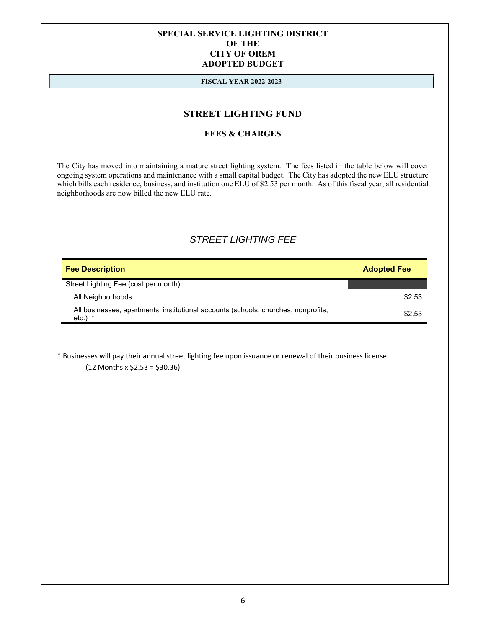#### **FISCAL YEAR 2022-2023**

#### **STREET LIGHTING FUND**

#### **FEES & CHARGES**

The City has moved into maintaining a mature street lighting system. The fees listed in the table below will cover ongoing system operations and maintenance with a small capital budget. The City has adopted the new ELU structure which bills each residence, business, and institution one ELU of \$2.53 per month. As of this fiscal year, all residential neighborhoods are now billed the new ELU rate.

#### *STREET LIGHTING FEE*

| <b>Fee Description</b>                                                                             | <b>Adopted Fee</b> |
|----------------------------------------------------------------------------------------------------|--------------------|
| Street Lighting Fee (cost per month):                                                              |                    |
| All Neighborhoods                                                                                  | \$2.53             |
| All businesses, apartments, institutional accounts (schools, churches, nonprofits,<br>$etc.$ ) $*$ | \$2.53             |

\* Businesses will pay their annual street lighting fee upon issuance or renewal of their business license.  $(12$  Months x  $$2.53 = $30.36$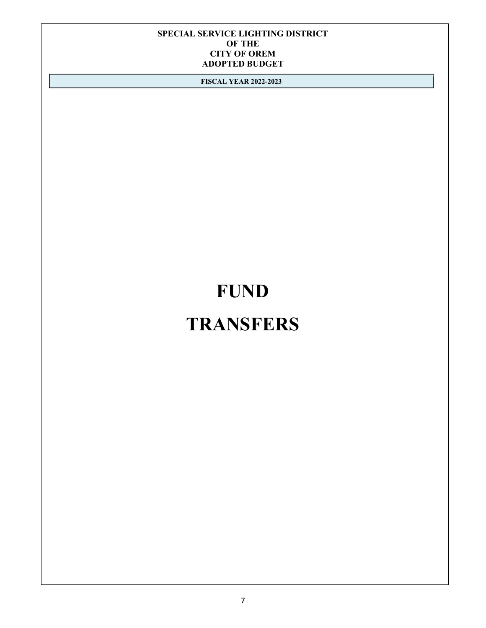**FISCAL YEAR 2022-2023**

## **FUND**

## **TRANSFERS**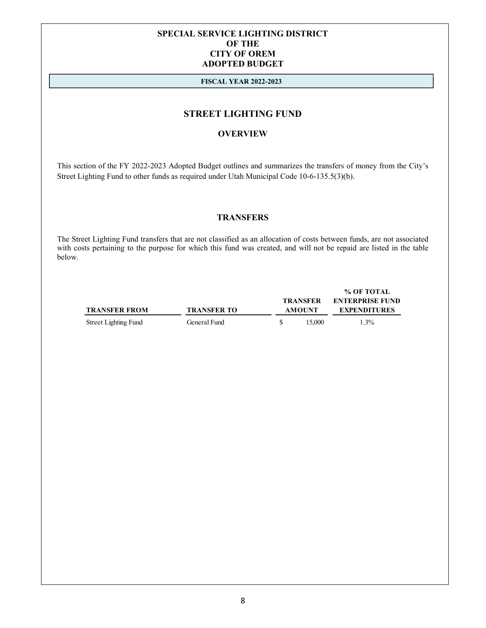#### **FISCAL YEAR 2022-2023**

#### **STREET LIGHTING FUND**

#### **OVERVIEW**

This section of the FY 2022-2023 Adopted Budget outlines and summarizes the transfers of money from the City's Street Lighting Fund to other funds as required under Utah Municipal Code 10-6-135.5(3)(b).

#### **TRANSFERS**

The Street Lighting Fund transfers that are not classified as an allocation of costs between funds, are not associated with costs pertaining to the purpose for which this fund was created, and will not be repaid are listed in the table below.

Street Lighting Fund General Fund \$ 15,000 1.3%

**% OF TOTAL TRANSFER ENTERPRISE FUND TRANSFER FROM TRANSFER TO AMOUNT EXPENDITURES**